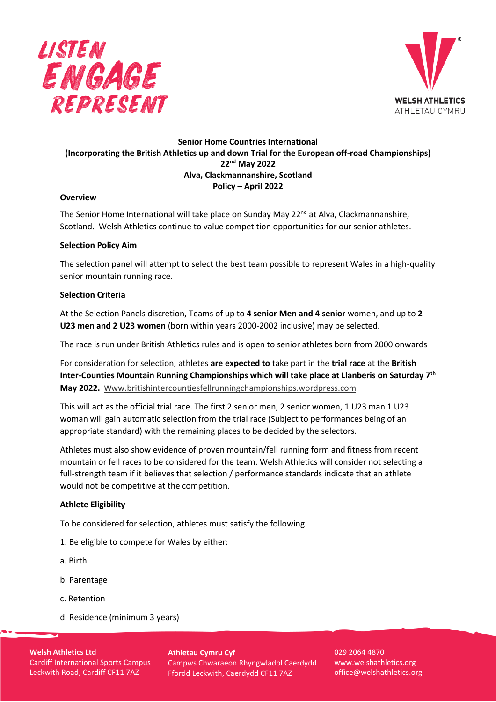



# **Senior Home Countries International (Incorporating the British Athletics up and down Trial for the European off-road Championships) 22nd May 2022 Alva, Clackmannanshire, Scotland Policy – April 2022**

### **Overview**

The Senior Home International will take place on Sunday May 22<sup>nd</sup> at Alva, Clackmannanshire, Scotland. Welsh Athletics continue to value competition opportunities for our senior athletes.

### **Selection Policy Aim**

The selection panel will attempt to select the best team possible to represent Wales in a high-quality senior mountain running race.

### **Selection Criteria**

At the Selection Panels discretion, Teams of up to **4 senior Men and 4 senior** women, and up to **2 U23 men and 2 U23 women** (born within years 2000-2002 inclusive) may be selected.

The race is run under British Athletics rules and is open to senior athletes born from 2000 onwards

For consideration for selection, athletes **are expected to** take part in the **trial race** at the **British Inter-Counties Mountain Running Championships which will take place at Llanberis on Saturday 7th May 2022.** w[ww.britishintercountiesfellrunningchampionships.wordpress.com](http://www.britishintercountiesfellrunningchampionships.wordpress.com/)

This will act as the official trial race. The first 2 senior men, 2 senior women, 1 U23 man 1 U23 woman will gain automatic selection from the trial race (Subject to performances being of an appropriate standard) with the remaining places to be decided by the selectors.

Athletes must also show evidence of proven mountain/fell running form and fitness from recent mountain or fell races to be considered for the team. Welsh Athletics will consider not selecting a full-strength team if it believes that selection / performance standards indicate that an athlete would not be competitive at the competition.

### **Athlete Eligibility**

To be considered for selection, athletes must satisfy the following.

- 1. Be eligible to compete for Wales by either:
- a. Birth
- b. Parentage
- c. Retention
- d. Residence (minimum 3 years)

**Welsh Athletics Ltd** Cardiff International Sports Campus Leckwith Road, Cardiff CF11 7AZ

**Athletau Cymru Cyf** Campws Chwaraeon Rhyngwladol Caerdydd Ffordd Leckwith, Caerdydd CF11 7AZ

029 2064 4870 www.welshathletics.org office@welshathletics.org